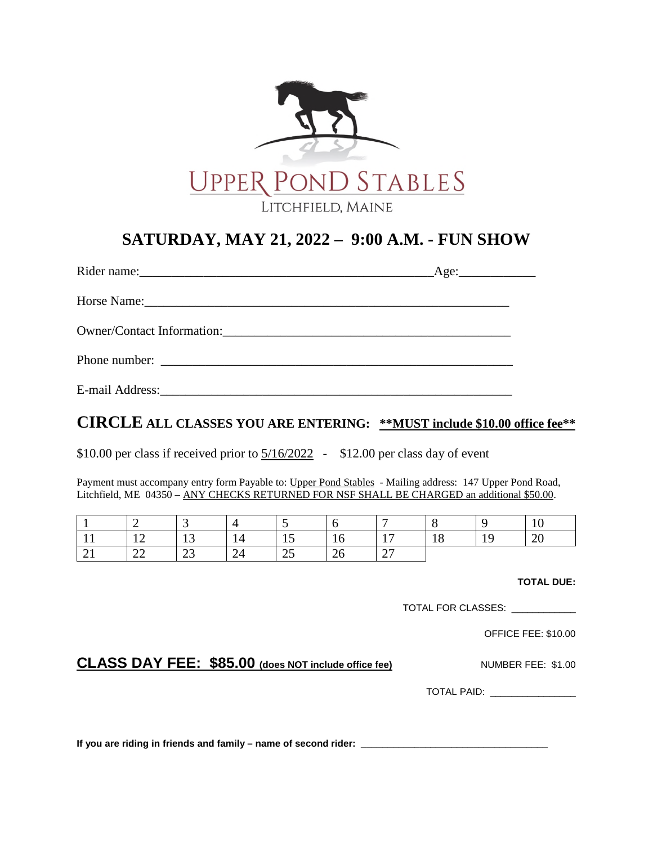

## **SATURDAY, MAY 21, 2022 – 9:00 A.M. - FUN SHOW**

|                            | $\text{Age:}\_$ |
|----------------------------|-----------------|
|                            |                 |
| Owner/Contact Information: |                 |
|                            |                 |
|                            |                 |

## **CIRCLE ALL CLASSES YOU ARE ENTERING: \*\*MUST include \$10.00 office fee\*\***

\$10.00 per class if received prior to  $\frac{5}{16/2022}$  - \$12.00 per class day of event

Payment must accompany entry form Payable to: Upper Pond Stables - Mailing address: 147 Upper Pond Road, Litchfield, ME 04350 – ANY CHECKS RETURNED FOR NSF SHALL BE CHARGED an additional \$50.00.

|          | -                                  |              |    | $\sim$ $\lambda$ |     | -                                          |                | 1 U          |
|----------|------------------------------------|--------------|----|------------------|-----|--------------------------------------------|----------------|--------------|
|          | $\sim$<br>$\overline{\phantom{0}}$ | $\sim$<br>⊥ັ | 14 | ⊥ັ               | 1 U | $\overline{1}$<br>$\overline{\phantom{a}}$ | $\Omega$<br>10 | $\cap$<br>∠∪ |
| $\sim$ 1 | $\sim$<br>$\overline{\phantom{m}}$ | $\sim$<br>رے | 24 | رے               | ∠∪  | $\bigcap$<br>$\sim$ 1                      |                |              |

**TOTAL DUE:** 

TOTAL FOR CLASSES: \_\_\_\_\_\_\_\_\_\_\_\_

OFFICE FEE: \$10.00

**CLASS DAY FEE: \$85.00** (does NOT include office fee) NUMBER FEE: \$1.00

TOTAL PAID: \_\_\_\_\_\_\_\_\_\_\_\_\_\_\_\_

**If you are riding in friends and family – name of second rider: \_\_\_\_\_\_\_\_\_\_\_\_\_\_\_\_\_\_\_\_\_\_\_\_\_\_\_\_\_\_\_\_\_\_\_**